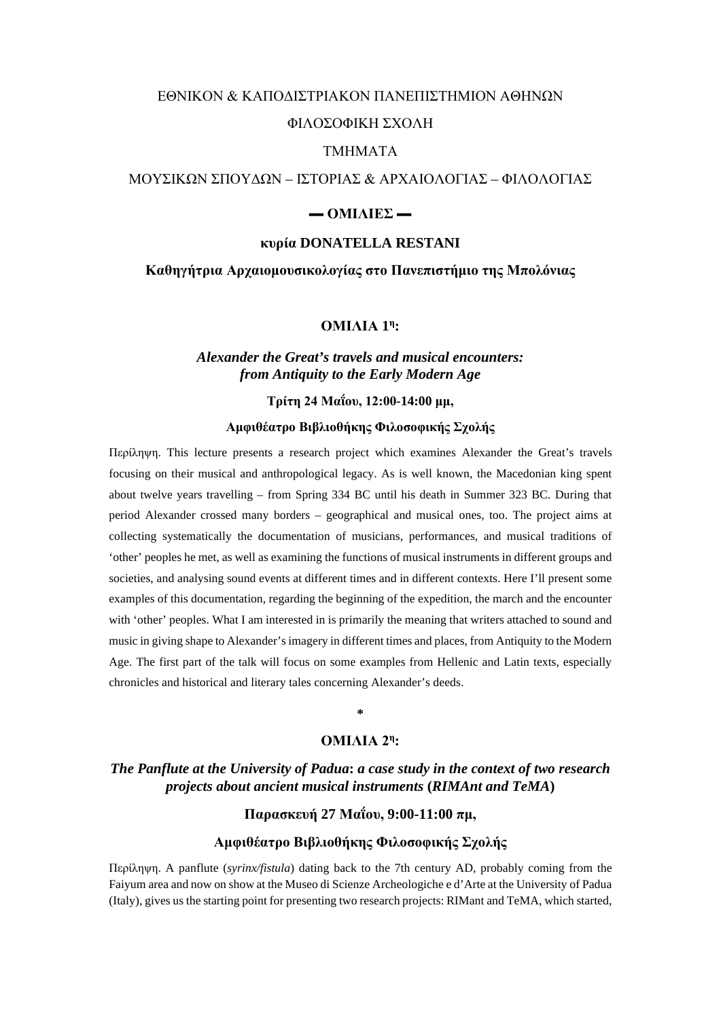### ΕΘΝΙΚΟΝ & ΚΑΠΟΔΙΣΤΡΙΑΚΟΝ ΠΑΝΕΠΙΣΤΗΜΙΟΝ ΑΘΗΝΩΝ

## ΦΙΛΟΣΟΦΙΚΗ ΣΧΟΛΗ

## ΤΜΗΜΑΤΑ

# ΜΟΥΣΙΚΩΝ ΣΠΟΥΔΩΝ – ΙΣΤΟΡΙΑΣ & ΑΡΧΑΙΟΛΟΓΙΑΣ – ΦΙΛΟΛΟΓΙΑΣ

## **▬ ΟΜΙΛΙΕΣ ▬**

### **κυρία DONATELLA RESTANI**

### **Καθηγήτρια Αρχαιομουσικολογίας στο Πανεπιστήμιο της Μπολόνιας**

### **ΟΜΙΛΙΑ 1<sup>η</sup>:**

## *Alexander the Great's travels and musical encounters: from Antiquity to the Early Modern Age*

### **Τρίτη 24 Μαΐου, 12:00-14:00 μμ,**

### **Αμφιθέατρο Βιβλιοθήκης Φιλοσοφικής Σχολής**

Περίληψη. This lecture presents a research project which examines Alexander the Great's travels focusing on their musical and anthropological legacy. As is well known, the Macedonian king spent about twelve years travelling – from Spring 334 BC until his death in Summer 323 BC. During that period Alexander crossed many borders – geographical and musical ones, too. The project aims at collecting systematically the documentation of musicians, performances, and musical traditions of 'other' peoples he met, as well as examining the functions of musical instruments in different groups and societies, and analysing sound events at different times and in different contexts. Here I'll present some examples of this documentation, regarding the beginning of the expedition, the march and the encounter with 'other' peoples. What I am interested in is primarily the meaning that writers attached to sound and music in giving shape to Alexander's imagery in different times and places, from Antiquity to the Modern Age. The first part of the talk will focus on some examples from Hellenic and Latin texts, especially chronicles and historical and literary tales concerning Alexander's deeds.

**\***

## **ΟΜΙΛΙΑ 2η:**

# *The Panflute at the University of Padua***:** *a case study in the context of two research projects about ancient musical instruments* **(***RIMAnt and TeMA***)**

## **Παρασκευή 27 Μαΐου, 9:00-11:00 πμ,**

### **Αμφιθέατρο Βιβλιοθήκης Φιλοσοφικής Σχολής**

Περίληψη. A panflute (*syrinx/fistula*) dating back to the 7th century AD, probably coming from the Faiyum area and now on show at the Museo di Scienze Archeologiche e d'Arte at the University of Padua (Italy), gives us the starting point for presenting two research projects: RIMant and TeMA, which started,